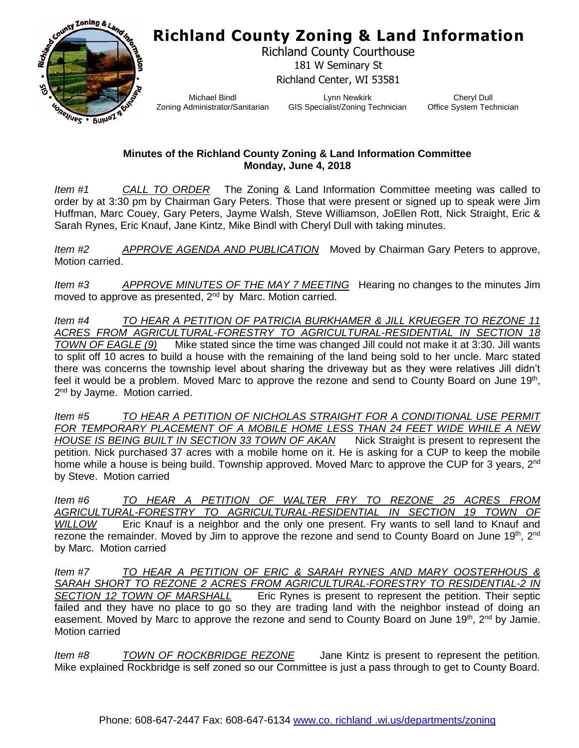## **Richland County Zoning & Land Information**



Richland County Courthouse 181 W Seminary St Richland Center, WI 53581

Michael Bindl Zoning Administrator/Sanitarian

Lynn Newkirk GIS Specialist/Zoning Technician

Cheryl Dull Office System Technician

## **Minutes of the Richland County Zoning & Land Information Committee Monday, June 4, 2018**

*Item #1 CALL TO ORDER* The Zoning & Land Information Committee meeting was called to order by at 3:30 pm by Chairman Gary Peters. Those that were present or signed up to speak were Jim Huffman, Marc Couey, Gary Peters, Jayme Walsh, Steve Williamson, JoEllen Rott, Nick Straight, Eric & Sarah Rynes, Eric Knauf, Jane Kintz, Mike Bindl with Cheryl Dull with taking minutes.

*Item #2 APPROVE AGENDA AND PUBLICATION* Moved by Chairman Gary Peters to approve, Motion carried.

*Item #3 APPROVE MINUTES OF THE MAY 7 MEETING* Hearing no changes to the minutes Jim moved to approve as presented, 2<sup>nd</sup> by Marc. Motion carried.

*Item #4 TO HEAR A PETITION OF PATRICIA BURKHAMER & JILL KRUEGER TO REZONE 11 ACRES FROM AGRICULTURAL-FORESTRY TO AGRICULTURAL-RESIDENTIAL IN SECTION 18 TOWN OF EAGLE (9)* Mike stated since the time was changed Jill could not make it at 3:30. Jill wants to split off 10 acres to build a house with the remaining of the land being sold to her uncle. Marc stated there was concerns the township level about sharing the driveway but as they were relatives Jill didn't feel it would be a problem. Moved Marc to approve the rezone and send to County Board on June 19<sup>th</sup>, 2<sup>nd</sup> by Jayme. Motion carried.

*Item #5 TO HEAR A PETITION OF NICHOLAS STRAIGHT FOR A CONDITIONAL USE PERMIT FOR TEMPORARY PLACEMENT OF A MOBILE HOME LESS THAN 24 FEET WIDE WHILE A NEW HOUSE IS BEING BUILT IN SECTION 33 TOWN OF AKAN* Nick Straight is present to represent the petition. Nick purchased 37 acres with a mobile home on it. He is asking for a CUP to keep the mobile home while a house is being build. Township approved. Moved Marc to approve the CUP for 3 years, 2<sup>nd</sup> by Steve. Motion carried

*Item #6 TO HEAR A PETITION OF WALTER FRY TO REZONE 25 ACRES FROM AGRICULTURAL-FORESTRY TO AGRICULTURAL-RESIDENTIAL IN SECTION 19 TOWN OF WILLOW* Eric Knauf is a neighbor and the only one present. Fry wants to sell land to Knauf and rezone the remainder. Moved by Jim to approve the rezone and send to County Board on June 19<sup>th</sup>, 2<sup>nd</sup> by Marc. Motion carried

*Item #7 TO HEAR A PETITION OF ERIC & SARAH RYNES AND MARY OOSTERHOUS & SARAH SHORT TO REZONE 2 ACRES FROM AGRICULTURAL-FORESTRY TO RESIDENTIAL-2 IN SECTION 12 TOWN OF MARSHALL* Eric Rynes is present to represent the petition. Their septic failed and they have no place to go so they are trading land with the neighbor instead of doing an easement. Moved by Marc to approve the rezone and send to County Board on June 19<sup>th</sup>, 2<sup>nd</sup> by Jamie. Motion carried

*Item #8 TOWN OF ROCKBRIDGE REZONE* Jane Kintz is present to represent the petition. Mike explained Rockbridge is self zoned so our Committee is just a pass through to get to County Board.